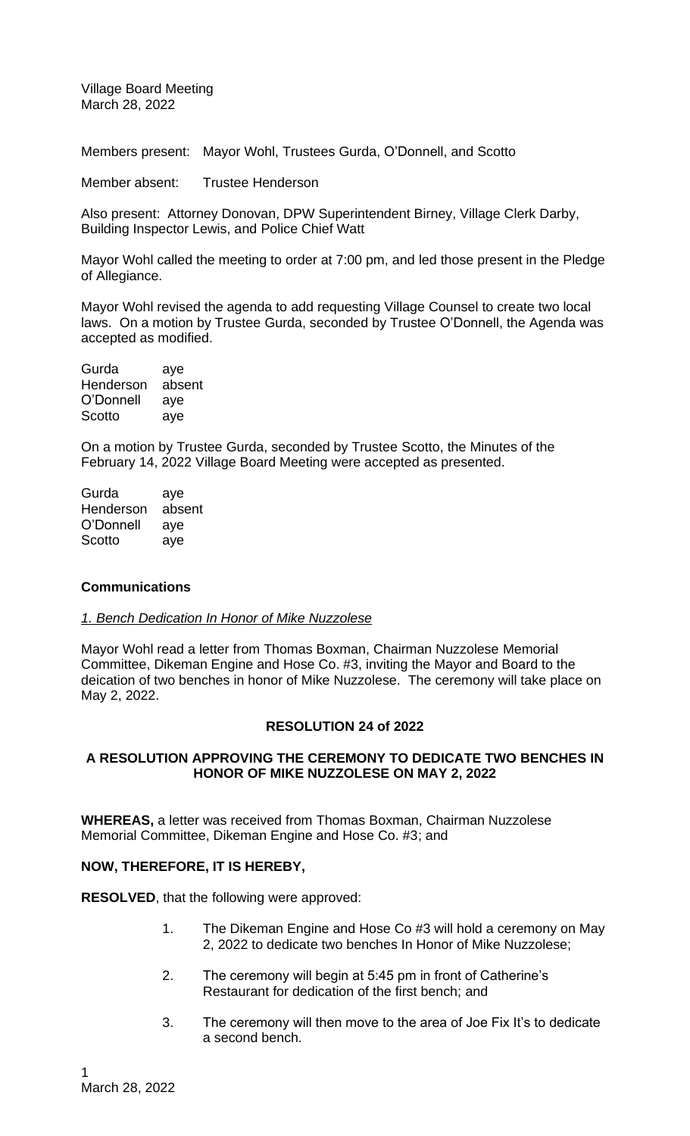Village Board Meeting March 28, 2022

Members present: Mayor Wohl, Trustees Gurda, O'Donnell, and Scotto

Member absent: Trustee Henderson

Also present: Attorney Donovan, DPW Superintendent Birney, Village Clerk Darby, Building Inspector Lewis, and Police Chief Watt

Mayor Wohl called the meeting to order at 7:00 pm, and led those present in the Pledge of Allegiance.

Mayor Wohl revised the agenda to add requesting Village Counsel to create two local laws. On a motion by Trustee Gurda, seconded by Trustee O'Donnell, the Agenda was accepted as modified.

| Gurda     | aye    |
|-----------|--------|
| Henderson | absent |
| O'Donnell | aye    |
| Scotto    | aye    |

On a motion by Trustee Gurda, seconded by Trustee Scotto, the Minutes of the February 14, 2022 Village Board Meeting were accepted as presented.

Gurda aye Henderson absent O'Donnell aye Scotto aye

# **Communications**

#### *1. Bench Dedication In Honor of Mike Nuzzolese*

Mayor Wohl read a letter from Thomas Boxman, Chairman Nuzzolese Memorial Committee, Dikeman Engine and Hose Co. #3, inviting the Mayor and Board to the deication of two benches in honor of Mike Nuzzolese. The ceremony will take place on May 2, 2022.

# **RESOLUTION 24 of 2022**

#### **A RESOLUTION APPROVING THE CEREMONY TO DEDICATE TWO BENCHES IN HONOR OF MIKE NUZZOLESE ON MAY 2, 2022**

**WHEREAS,** a letter was received from Thomas Boxman, Chairman Nuzzolese Memorial Committee, Dikeman Engine and Hose Co. #3; and

# **NOW, THEREFORE, IT IS HEREBY,**

**RESOLVED**, that the following were approved:

- 1. The Dikeman Engine and Hose Co #3 will hold a ceremony on May 2, 2022 to dedicate two benches In Honor of Mike Nuzzolese;
- 2. The ceremony will begin at 5:45 pm in front of Catherine's Restaurant for dedication of the first bench; and
- 3. The ceremony will then move to the area of Joe Fix It's to dedicate a second bench.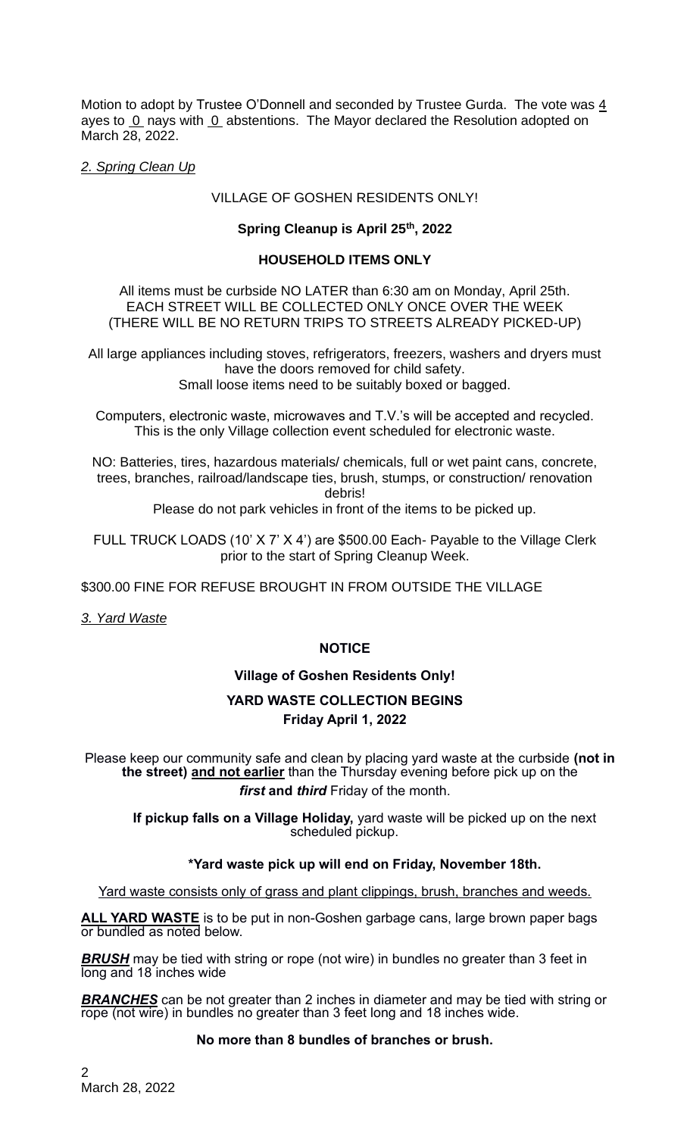Motion to adopt by Trustee O'Donnell and seconded by Trustee Gurda. The vote was 4 ayes to  $\overline{0}$  nays with  $\overline{0}$  abstentions. The Mayor declared the Resolution adopted on March 28, 2022.

*2. Spring Clean Up*

#### VILLAGE OF GOSHEN RESIDENTS ONLY!

#### **Spring Cleanup is April 25th, 2022**

#### **HOUSEHOLD ITEMS ONLY**

All items must be curbside NO LATER than 6:30 am on Monday, April 25th. EACH STREET WILL BE COLLECTED ONLY ONCE OVER THE WEEK (THERE WILL BE NO RETURN TRIPS TO STREETS ALREADY PICKED-UP)

All large appliances including stoves, refrigerators, freezers, washers and dryers must have the doors removed for child safety. Small loose items need to be suitably boxed or bagged.

Computers, electronic waste, microwaves and T.V.'s will be accepted and recycled. This is the only Village collection event scheduled for electronic waste.

NO: Batteries, tires, hazardous materials/ chemicals, full or wet paint cans, concrete, trees, branches, railroad/landscape ties, brush, stumps, or construction/ renovation debris!

Please do not park vehicles in front of the items to be picked up.

FULL TRUCK LOADS (10' X 7' X 4') are \$500.00 Each- Payable to the Village Clerk prior to the start of Spring Cleanup Week.

\$300.00 FINE FOR REFUSE BROUGHT IN FROM OUTSIDE THE VILLAGE

*3. Yard Waste* 

# **NOTICE**

# **Village of Goshen Residents Only!**

# **YARD WASTE COLLECTION BEGINS Friday April 1, 2022**

Please keep our community safe and clean by placing yard waste at the curbside **(not in the street) and not earlier** than the Thursday evening before pick up on the *first* **and** *third* Friday of the month.

**If pickup falls on a Village Holiday,** yard waste will be picked up on the next scheduled pickup.

# **\*Yard waste pick up will end on Friday, November 18th.**

Yard waste consists only of grass and plant clippings, brush, branches and weeds.

**ALL YARD WASTE** is to be put in non-Goshen garbage cans, large brown paper bags or bundled as noted below.

*BRUSH* may be tied with string or rope (not wire) in bundles no greater than 3 feet in long and 18 inches wide

*BRANCHES* can be not greater than 2 inches in diameter and may be tied with string or rope (not wire) in bundles no greater than 3 feet long and 18 inches wide.

#### **No more than 8 bundles of branches or brush.**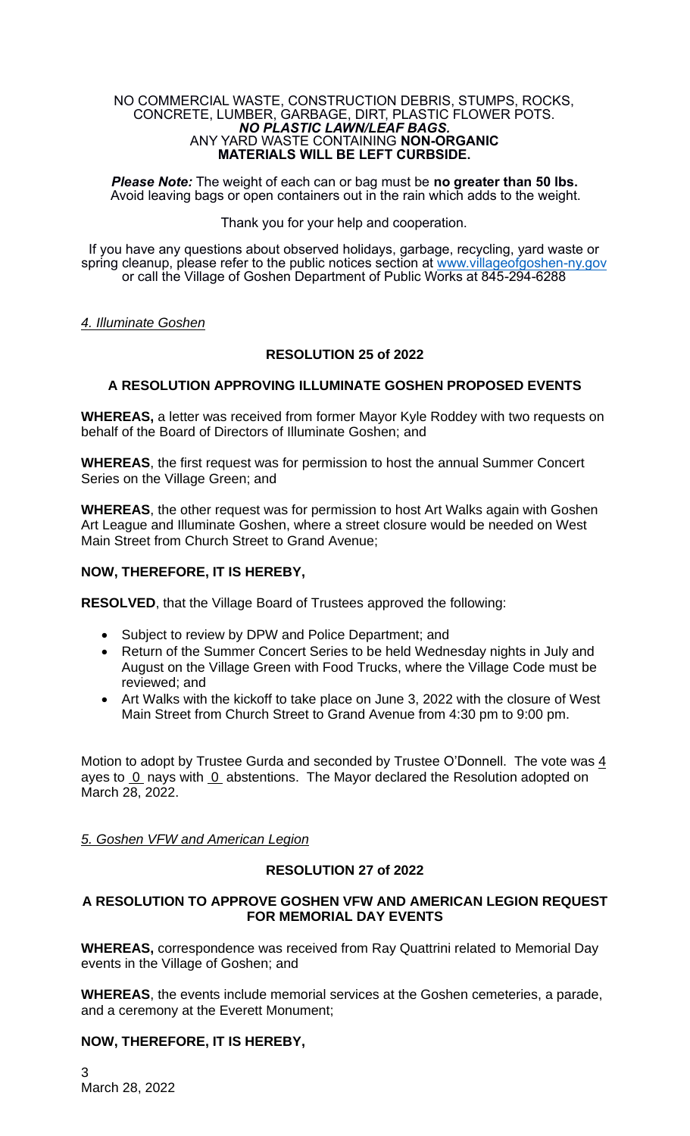#### NO COMMERCIAL WASTE, CONSTRUCTION DEBRIS, STUMPS, ROCKS, CONCRETE, LUMBER, GARBAGE, DIRT, PLASTIC FLOWER POTS. *NO PLASTIC LAWN/LEAF BAGS.*  ANY YARD WASTE CONTAINING **NON-ORGANIC MATERIALS WILL BE LEFT CURBSIDE.**

*Please Note:* The weight of each can or bag must be **no greater than 50 lbs.** Avoid leaving bags or open containers out in the rain which adds to the weight.

Thank you for your help and cooperation.

If you have any questions about observed holidays, garbage, recycling, yard waste or spring cleanup, please refer to the public notices section at [www.villageofgoshen-ny.gov](http://www.villageofgoshen-ny.gov/) or call the Village of Goshen Department of Public Works at 845-294-6288

*4. Illuminate Goshen*

#### **RESOLUTION 25 of 2022**

# **A RESOLUTION APPROVING ILLUMINATE GOSHEN PROPOSED EVENTS**

**WHEREAS,** a letter was received from former Mayor Kyle Roddey with two requests on behalf of the Board of Directors of Illuminate Goshen; and

**WHEREAS**, the first request was for permission to host the annual Summer Concert Series on the Village Green; and

**WHEREAS**, the other request was for permission to host Art Walks again with Goshen Art League and Illuminate Goshen, where a street closure would be needed on West Main Street from Church Street to Grand Avenue;

#### **NOW, THEREFORE, IT IS HEREBY,**

**RESOLVED**, that the Village Board of Trustees approved the following:

- Subject to review by DPW and Police Department; and
- Return of the Summer Concert Series to be held Wednesday nights in July and August on the Village Green with Food Trucks, where the Village Code must be reviewed; and
- Art Walks with the kickoff to take place on June 3, 2022 with the closure of West Main Street from Church Street to Grand Avenue from 4:30 pm to 9:00 pm.

Motion to adopt by Trustee Gurda and seconded by Trustee O'Donnell. The vote was 4 ayes to  $\overline{0}$  nays with  $\overline{0}$  abstentions. The Mayor declared the Resolution adopted on March 28, 2022.

#### *5. Goshen VFW and American Legion*

#### **RESOLUTION 27 of 2022**

# **A RESOLUTION TO APPROVE GOSHEN VFW AND AMERICAN LEGION REQUEST FOR MEMORIAL DAY EVENTS**

**WHEREAS,** correspondence was received from Ray Quattrini related to Memorial Day events in the Village of Goshen; and

**WHEREAS**, the events include memorial services at the Goshen cemeteries, a parade, and a ceremony at the Everett Monument;

# **NOW, THEREFORE, IT IS HEREBY,**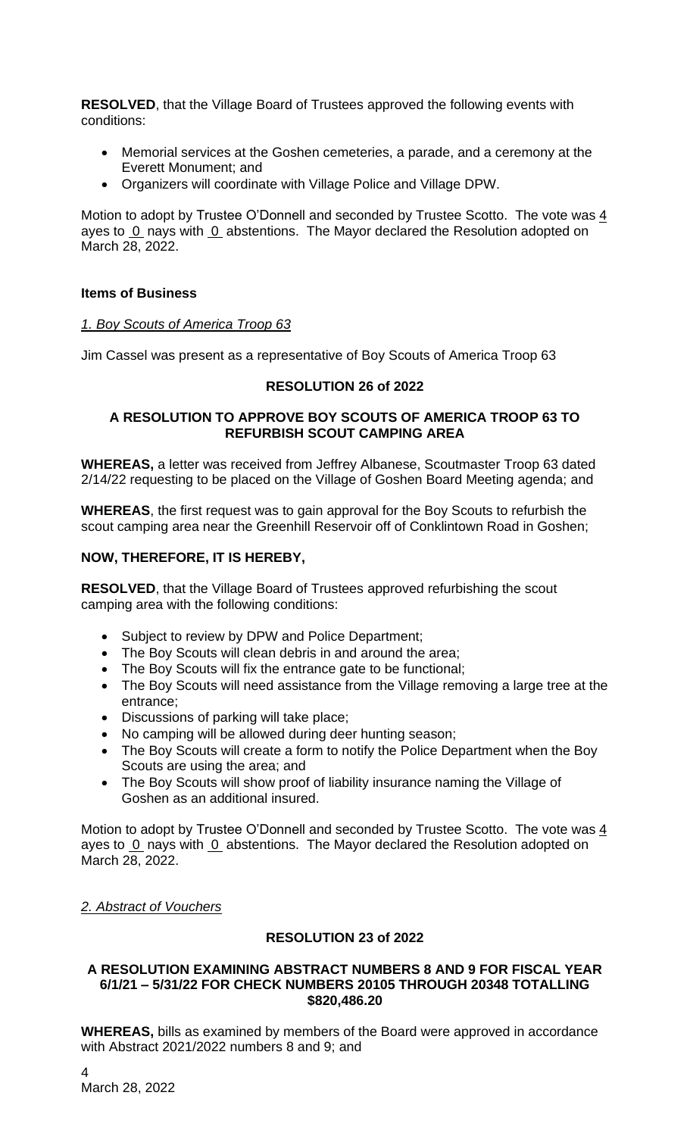**RESOLVED**, that the Village Board of Trustees approved the following events with conditions:

- Memorial services at the Goshen cemeteries, a parade, and a ceremony at the Everett Monument; and
- Organizers will coordinate with Village Police and Village DPW.

Motion to adopt by Trustee O'Donnell and seconded by Trustee Scotto. The vote was 4 ayes to  $\overline{0}$  nays with  $\overline{0}$  abstentions. The Mayor declared the Resolution adopted on March 28, 2022.

# **Items of Business**

# *1. Boy Scouts of America Troop 63*

Jim Cassel was present as a representative of Boy Scouts of America Troop 63

# **RESOLUTION 26 of 2022**

#### **A RESOLUTION TO APPROVE BOY SCOUTS OF AMERICA TROOP 63 TO REFURBISH SCOUT CAMPING AREA**

**WHEREAS,** a letter was received from Jeffrey Albanese, Scoutmaster Troop 63 dated 2/14/22 requesting to be placed on the Village of Goshen Board Meeting agenda; and

**WHEREAS**, the first request was to gain approval for the Boy Scouts to refurbish the scout camping area near the Greenhill Reservoir off of Conklintown Road in Goshen;

# **NOW, THEREFORE, IT IS HEREBY,**

**RESOLVED**, that the Village Board of Trustees approved refurbishing the scout camping area with the following conditions:

- Subject to review by DPW and Police Department;
- The Boy Scouts will clean debris in and around the area;
- The Boy Scouts will fix the entrance gate to be functional;
- The Boy Scouts will need assistance from the Village removing a large tree at the entrance;
- Discussions of parking will take place;
- No camping will be allowed during deer hunting season;
- The Boy Scouts will create a form to notify the Police Department when the Boy Scouts are using the area; and
- The Boy Scouts will show proof of liability insurance naming the Village of Goshen as an additional insured.

Motion to adopt by Trustee O'Donnell and seconded by Trustee Scotto. The vote was 4 ayes to 0 nays with 0 abstentions. The Mayor declared the Resolution adopted on March 28, 2022.

# *2. Abstract of Vouchers*

#### **RESOLUTION 23 of 2022**

#### **A RESOLUTION EXAMINING ABSTRACT NUMBERS 8 AND 9 FOR FISCAL YEAR 6/1/21 – 5/31/22 FOR CHECK NUMBERS 20105 THROUGH 20348 TOTALLING \$820,486.20**

**WHEREAS,** bills as examined by members of the Board were approved in accordance with Abstract 2021/2022 numbers 8 and 9; and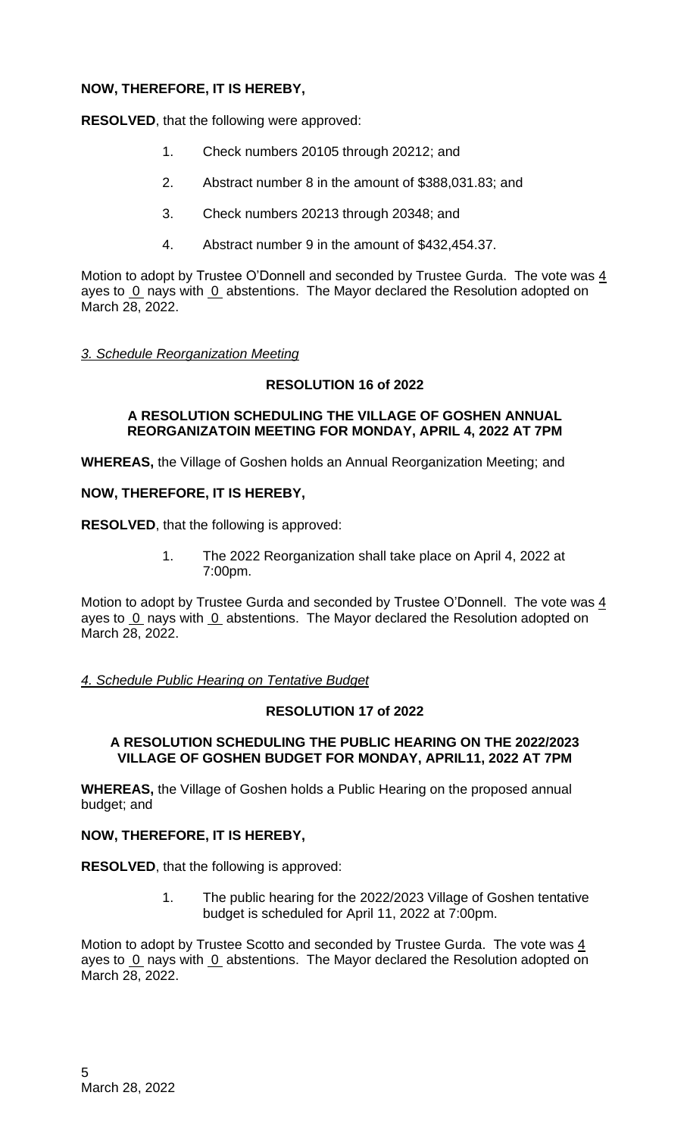# **NOW, THEREFORE, IT IS HEREBY,**

**RESOLVED**, that the following were approved:

- 1. Check numbers 20105 through 20212; and
- 2. Abstract number 8 in the amount of \$388,031.83; and
- 3. Check numbers 20213 through 20348; and
- 4. Abstract number 9 in the amount of \$432,454.37.

Motion to adopt by Trustee O'Donnell and seconded by Trustee Gurda. The vote was 4 ayes to  $0$  nays with  $0$  abstentions. The Mayor declared the Resolution adopted on March 28, 2022.

# *3. Schedule Reorganization Meeting*

# **RESOLUTION 16 of 2022**

#### **A RESOLUTION SCHEDULING THE VILLAGE OF GOSHEN ANNUAL REORGANIZATOIN MEETING FOR MONDAY, APRIL 4, 2022 AT 7PM**

**WHEREAS,** the Village of Goshen holds an Annual Reorganization Meeting; and

# **NOW, THEREFORE, IT IS HEREBY,**

**RESOLVED**, that the following is approved:

1. The 2022 Reorganization shall take place on April 4, 2022 at 7:00pm.

Motion to adopt by Trustee Gurda and seconded by Trustee O'Donnell. The vote was 4 ayes to  $0$  nays with  $0$  abstentions. The Mayor declared the Resolution adopted on March 28, 2022.

# *4. Schedule Public Hearing on Tentative Budget*

# **RESOLUTION 17 of 2022**

#### **A RESOLUTION SCHEDULING THE PUBLIC HEARING ON THE 2022/2023 VILLAGE OF GOSHEN BUDGET FOR MONDAY, APRIL11, 2022 AT 7PM**

**WHEREAS,** the Village of Goshen holds a Public Hearing on the proposed annual budget; and

# **NOW, THEREFORE, IT IS HEREBY,**

**RESOLVED**, that the following is approved:

1. The public hearing for the 2022/2023 Village of Goshen tentative budget is scheduled for April 11, 2022 at 7:00pm.

Motion to adopt by Trustee Scotto and seconded by Trustee Gurda. The vote was  $4$ ayes to 0 nays with 0 abstentions. The Mayor declared the Resolution adopted on March 28, 2022.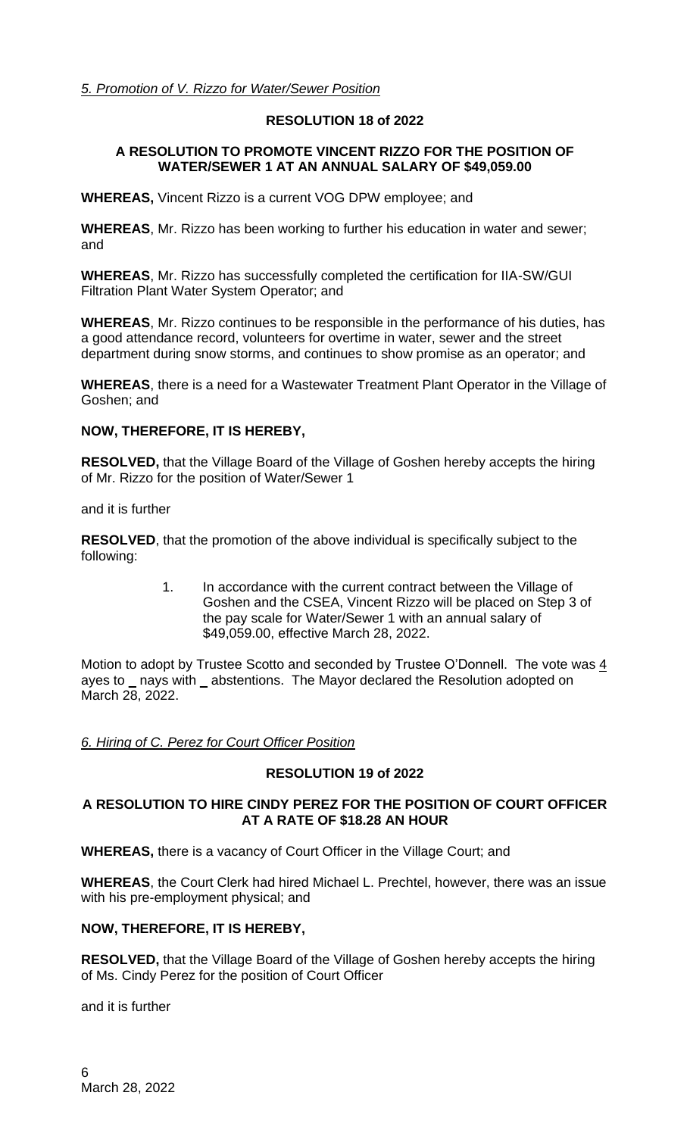# **RESOLUTION 18 of 2022**

# **A RESOLUTION TO PROMOTE VINCENT RIZZO FOR THE POSITION OF WATER/SEWER 1 AT AN ANNUAL SALARY OF \$49,059.00**

**WHEREAS,** Vincent Rizzo is a current VOG DPW employee; and

**WHEREAS**, Mr. Rizzo has been working to further his education in water and sewer; and

**WHEREAS**, Mr. Rizzo has successfully completed the certification for IIA-SW/GUI Filtration Plant Water System Operator; and

**WHEREAS**, Mr. Rizzo continues to be responsible in the performance of his duties, has a good attendance record, volunteers for overtime in water, sewer and the street department during snow storms, and continues to show promise as an operator; and

**WHEREAS**, there is a need for a Wastewater Treatment Plant Operator in the Village of Goshen; and

# **NOW, THEREFORE, IT IS HEREBY,**

**RESOLVED,** that the Village Board of the Village of Goshen hereby accepts the hiring of Mr. Rizzo for the position of Water/Sewer 1

and it is further

**RESOLVED**, that the promotion of the above individual is specifically subject to the following:

> 1. In accordance with the current contract between the Village of Goshen and the CSEA, Vincent Rizzo will be placed on Step 3 of the pay scale for Water/Sewer 1 with an annual salary of \$49,059.00, effective March 28, 2022.

Motion to adopt by Trustee Scotto and seconded by Trustee O'Donnell. The vote was 4 ayes to \_ nays with \_ abstentions. The Mayor declared the Resolution adopted on March 28, 2022.

# *6. Hiring of C. Perez for Court Officer Position*

# **RESOLUTION 19 of 2022**

#### **A RESOLUTION TO HIRE CINDY PEREZ FOR THE POSITION OF COURT OFFICER AT A RATE OF \$18.28 AN HOUR**

**WHEREAS,** there is a vacancy of Court Officer in the Village Court; and

**WHEREAS**, the Court Clerk had hired Michael L. Prechtel, however, there was an issue with his pre-employment physical; and

# **NOW, THEREFORE, IT IS HEREBY,**

**RESOLVED,** that the Village Board of the Village of Goshen hereby accepts the hiring of Ms. Cindy Perez for the position of Court Officer

and it is further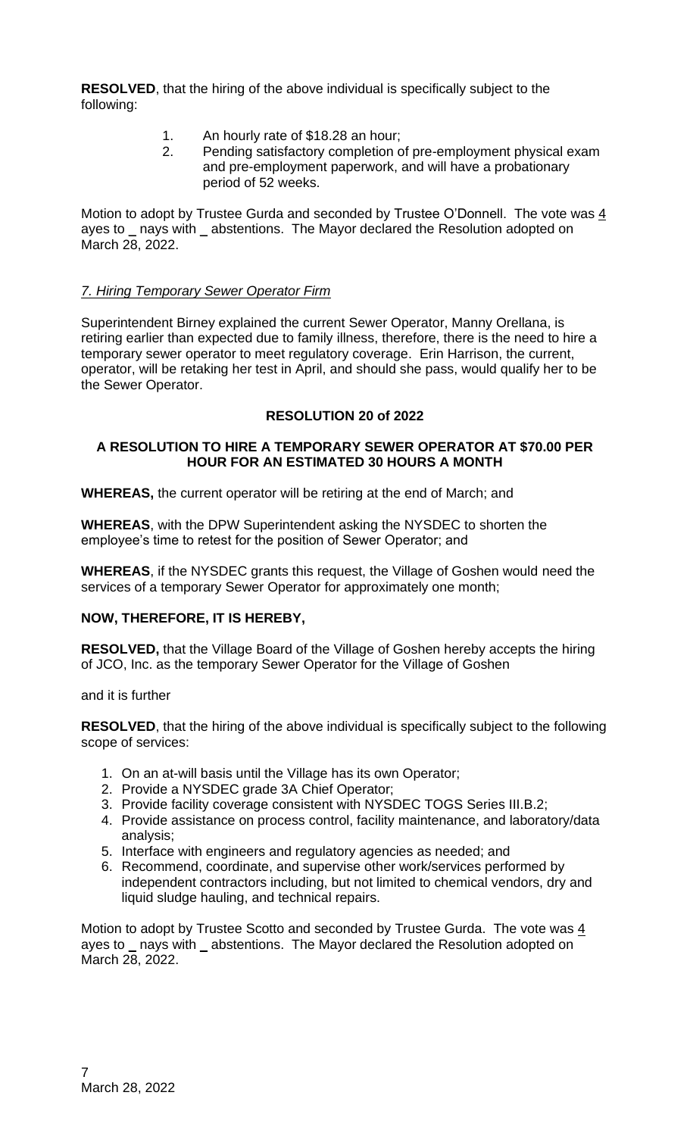**RESOLVED**, that the hiring of the above individual is specifically subject to the following:

- 1. An hourly rate of \$18.28 an hour;
- 2. Pending satisfactory completion of pre-employment physical exam and pre-employment paperwork, and will have a probationary period of 52 weeks.

Motion to adopt by Trustee Gurda and seconded by Trustee O'Donnell. The vote was 4 ayes to \_ nays with \_ abstentions. The Mayor declared the Resolution adopted on March 28, 2022.

# *7. Hiring Temporary Sewer Operator Firm*

Superintendent Birney explained the current Sewer Operator, Manny Orellana, is retiring earlier than expected due to family illness, therefore, there is the need to hire a temporary sewer operator to meet regulatory coverage. Erin Harrison, the current, operator, will be retaking her test in April, and should she pass, would qualify her to be the Sewer Operator.

# **RESOLUTION 20 of 2022**

#### **A RESOLUTION TO HIRE A TEMPORARY SEWER OPERATOR AT \$70.00 PER HOUR FOR AN ESTIMATED 30 HOURS A MONTH**

**WHEREAS,** the current operator will be retiring at the end of March; and

**WHEREAS**, with the DPW Superintendent asking the NYSDEC to shorten the employee's time to retest for the position of Sewer Operator; and

**WHEREAS**, if the NYSDEC grants this request, the Village of Goshen would need the services of a temporary Sewer Operator for approximately one month;

#### **NOW, THEREFORE, IT IS HEREBY,**

**RESOLVED,** that the Village Board of the Village of Goshen hereby accepts the hiring of JCO, Inc. as the temporary Sewer Operator for the Village of Goshen

and it is further

**RESOLVED**, that the hiring of the above individual is specifically subject to the following scope of services:

- 1. On an at-will basis until the Village has its own Operator;
- 2. Provide a NYSDEC grade 3A Chief Operator;
- 3. Provide facility coverage consistent with NYSDEC TOGS Series III.B.2;
- 4. Provide assistance on process control, facility maintenance, and laboratory/data analysis;
- 5. Interface with engineers and regulatory agencies as needed; and
- 6. Recommend, coordinate, and supervise other work/services performed by independent contractors including, but not limited to chemical vendors, dry and liquid sludge hauling, and technical repairs.

Motion to adopt by Trustee Scotto and seconded by Trustee Gurda. The vote was  $4$ ayes to \_ nays with \_ abstentions. The Mayor declared the Resolution adopted on March 28, 2022.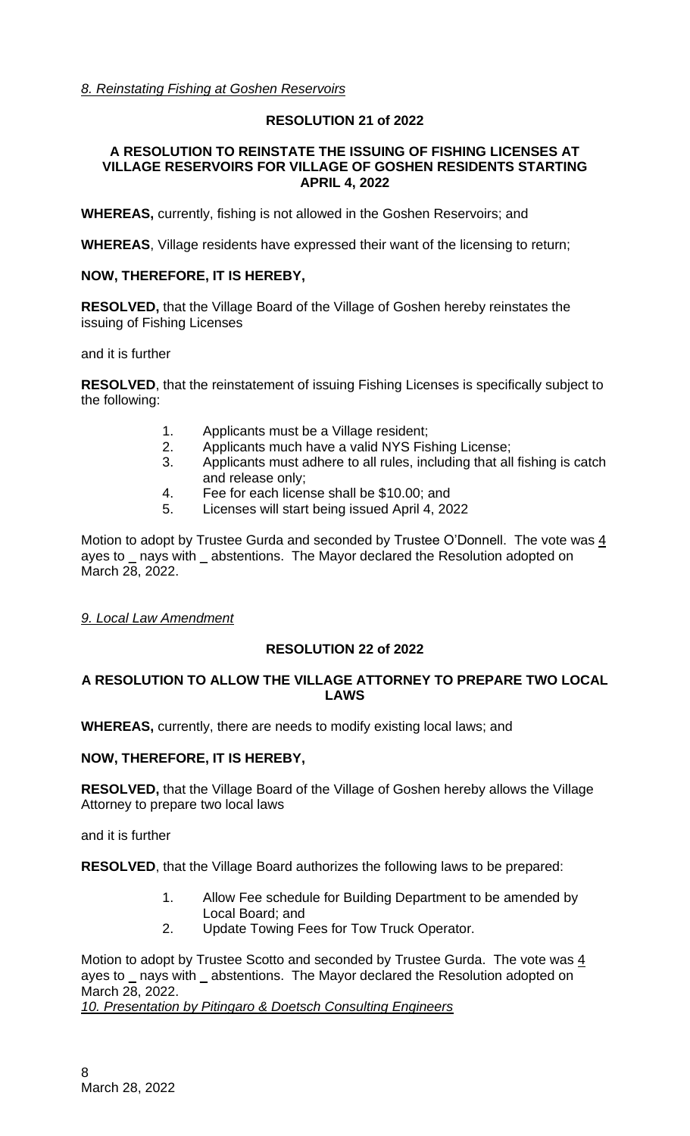# **RESOLUTION 21 of 2022**

#### **A RESOLUTION TO REINSTATE THE ISSUING OF FISHING LICENSES AT VILLAGE RESERVOIRS FOR VILLAGE OF GOSHEN RESIDENTS STARTING APRIL 4, 2022**

**WHEREAS,** currently, fishing is not allowed in the Goshen Reservoirs; and

**WHEREAS**, Village residents have expressed their want of the licensing to return;

# **NOW, THEREFORE, IT IS HEREBY,**

**RESOLVED,** that the Village Board of the Village of Goshen hereby reinstates the issuing of Fishing Licenses

and it is further

**RESOLVED**, that the reinstatement of issuing Fishing Licenses is specifically subject to the following:

- 1. Applicants must be a Village resident;
- 2. Applicants much have a valid NYS Fishing License;
- 3. Applicants must adhere to all rules, including that all fishing is catch and release only;
- 4. Fee for each license shall be \$10.00; and
- 5. Licenses will start being issued April 4, 2022

Motion to adopt by Trustee Gurda and seconded by Trustee O'Donnell. The vote was 4 ayes to \_ nays with \_ abstentions. The Mayor declared the Resolution adopted on March 28, 2022.

*9. Local Law Amendment*

# **RESOLUTION 22 of 2022**

# **A RESOLUTION TO ALLOW THE VILLAGE ATTORNEY TO PREPARE TWO LOCAL LAWS**

**WHEREAS,** currently, there are needs to modify existing local laws; and

#### **NOW, THEREFORE, IT IS HEREBY,**

**RESOLVED,** that the Village Board of the Village of Goshen hereby allows the Village Attorney to prepare two local laws

and it is further

**RESOLVED**, that the Village Board authorizes the following laws to be prepared:

- 1. Allow Fee schedule for Building Department to be amended by Local Board; and
- 2. Update Towing Fees for Tow Truck Operator.

Motion to adopt by Trustee Scotto and seconded by Trustee Gurda. The vote was 4 ayes to \_ nays with \_ abstentions. The Mayor declared the Resolution adopted on March 28, 2022.

*10. Presentation by Pitingaro & Doetsch Consulting Engineers*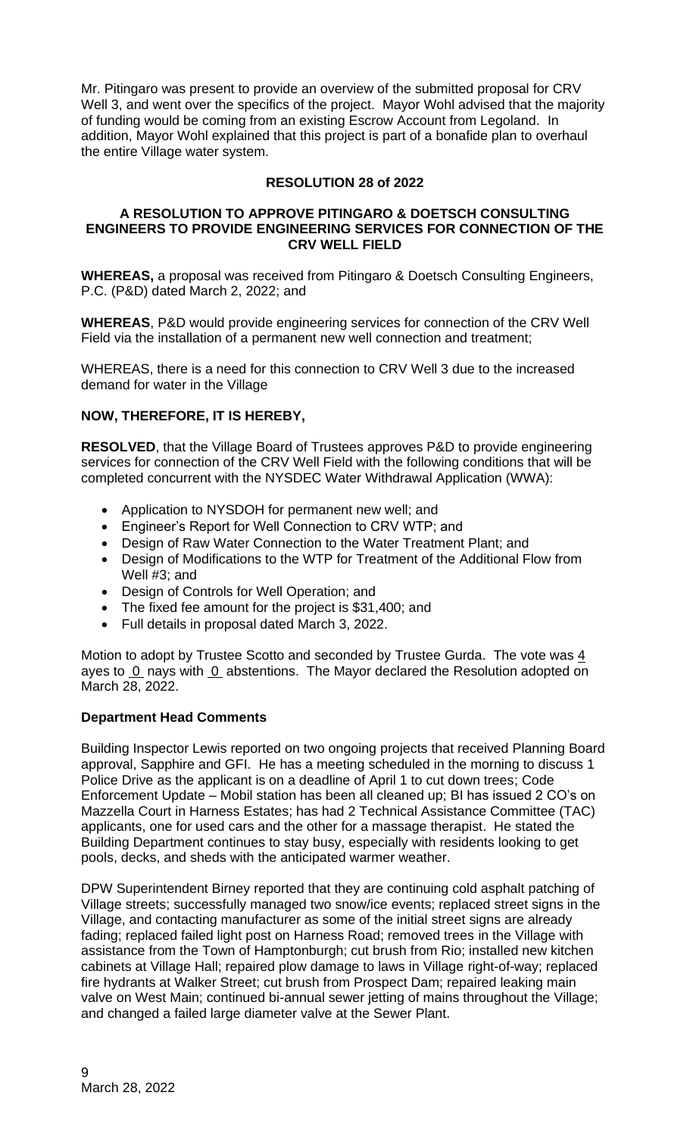Mr. Pitingaro was present to provide an overview of the submitted proposal for CRV Well 3, and went over the specifics of the project. Mayor Wohl advised that the majority of funding would be coming from an existing Escrow Account from Legoland. In addition, Mayor Wohl explained that this project is part of a bonafide plan to overhaul the entire Village water system.

# **RESOLUTION 28 of 2022**

#### **A RESOLUTION TO APPROVE PITINGARO & DOETSCH CONSULTING ENGINEERS TO PROVIDE ENGINEERING SERVICES FOR CONNECTION OF THE CRV WELL FIELD**

**WHEREAS,** a proposal was received from Pitingaro & Doetsch Consulting Engineers, P.C. (P&D) dated March 2, 2022; and

**WHEREAS**, P&D would provide engineering services for connection of the CRV Well Field via the installation of a permanent new well connection and treatment;

WHEREAS, there is a need for this connection to CRV Well 3 due to the increased demand for water in the Village

# **NOW, THEREFORE, IT IS HEREBY,**

**RESOLVED**, that the Village Board of Trustees approves P&D to provide engineering services for connection of the CRV Well Field with the following conditions that will be completed concurrent with the NYSDEC Water Withdrawal Application (WWA):

- Application to NYSDOH for permanent new well; and
- Engineer's Report for Well Connection to CRV WTP; and
- Design of Raw Water Connection to the Water Treatment Plant; and
- Design of Modifications to the WTP for Treatment of the Additional Flow from Well #3; and
- Design of Controls for Well Operation; and
- The fixed fee amount for the project is \$31,400; and
- Full details in proposal dated March 3, 2022.

Motion to adopt by Trustee Scotto and seconded by Trustee Gurda. The vote was 4 ayes to 0 nays with 0 abstentions. The Mayor declared the Resolution adopted on March 28, 2022.

# **Department Head Comments**

Building Inspector Lewis reported on two ongoing projects that received Planning Board approval, Sapphire and GFI. He has a meeting scheduled in the morning to discuss 1 Police Drive as the applicant is on a deadline of April 1 to cut down trees; Code Enforcement Update – Mobil station has been all cleaned up; BI has issued 2 CO's on Mazzella Court in Harness Estates; has had 2 Technical Assistance Committee (TAC) applicants, one for used cars and the other for a massage therapist. He stated the Building Department continues to stay busy, especially with residents looking to get pools, decks, and sheds with the anticipated warmer weather.

DPW Superintendent Birney reported that they are continuing cold asphalt patching of Village streets; successfully managed two snow/ice events; replaced street signs in the Village, and contacting manufacturer as some of the initial street signs are already fading; replaced failed light post on Harness Road; removed trees in the Village with assistance from the Town of Hamptonburgh; cut brush from Rio; installed new kitchen cabinets at Village Hall; repaired plow damage to laws in Village right-of-way; replaced fire hydrants at Walker Street; cut brush from Prospect Dam; repaired leaking main valve on West Main; continued bi-annual sewer jetting of mains throughout the Village; and changed a failed large diameter valve at the Sewer Plant.